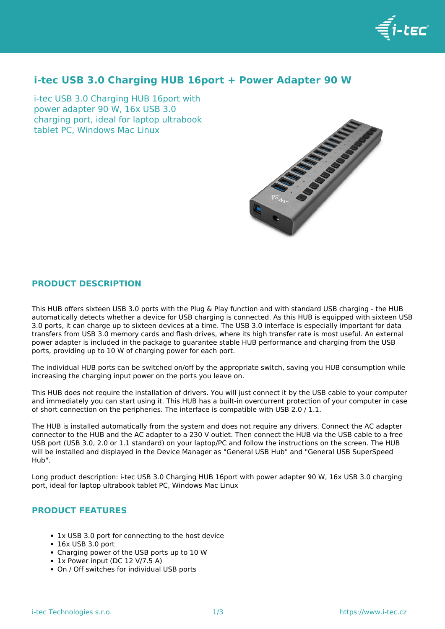

# **i-tec USB 3.0 Charging HUB 16port + Power Adapter 90 W**

i-tec USB 3.0 Charging HUB 16port with power adapter 90 W, 16x USB 3.0 charging port, ideal for laptop ultrabook tablet PC, Windows Mac Linux



## **PRODUCT DESCRIPTION**

This HUB offers sixteen USB 3.0 ports with the Plug & Play function and with standard USB charging - the HUB automatically detects whether a device for USB charging is connected. As this HUB is equipped with sixteen USB 3.0 ports, it can charge up to sixteen devices at a time. The USB 3.0 interface is especially important for data transfers from USB 3.0 memory cards and flash drives, where its high transfer rate is most useful. An external power adapter is included in the package to guarantee stable HUB performance and charging from the USB ports, providing up to 10 W of charging power for each port.

The individual HUB ports can be switched on/off by the appropriate switch, saving you HUB consumption while increasing the charging input power on the ports you leave on.

This HUB does not require the installation of drivers. You will just connect it by the USB cable to your computer and immediately you can start using it. This HUB has a built-in overcurrent protection of your computer in case of short connection on the peripheries. The interface is compatible with USB 2.0 / 1.1.

The HUB is installed automatically from the system and does not require any drivers. Connect the AC adapter connector to the HUB and the AC adapter to a 230 V outlet. Then connect the HUB via the USB cable to a free USB port (USB 3.0, 2.0 or 1.1 standard) on your laptop/PC and follow the instructions on the screen. The HUB will be installed and displayed in the Device Manager as "General USB Hub" and "General USB SuperSpeed Hub".

Long product description: i-tec USB 3.0 Charging HUB 16port with power adapter 90 W, 16x USB 3.0 charging port, ideal for laptop ultrabook tablet PC, Windows Mac Linux

## **PRODUCT FEATURES**

- 1x USB 3.0 port for connecting to the host device
- 16x USB 3.0 port
- Charging power of the USB ports up to 10 W
- 1x Power input (DC 12 V/7.5 A)
- On / Off switches for individual USB ports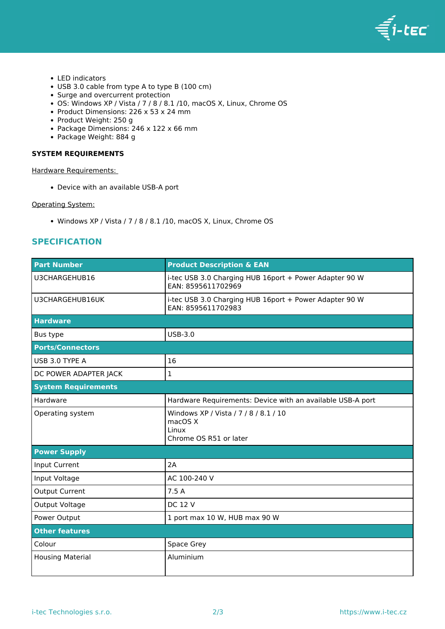

- LED indicators
- USB 3.0 cable from type A to type B (100 cm)
- Surge and overcurrent protection
- OS: Windows XP / Vista / 7 / 8 / 8.1 /10, macOS X, Linux, Chrome OS
- Product Dimensions: 226 x 53 x 24 mm
- Product Weight: 250 g
- Package Dimensions: 246 x 122 x 66 mm
- Package Weight: 884 g

### **SYSTEM REQUIREMENTS**

Hardware Requirements:

Device with an available USB-A port

#### Operating System:

• Windows XP / Vista / 7 / 8 / 8.1 /10, macOS X, Linux, Chrome OS

## **SPECIFICATION**

| <b>Part Number</b>         | <b>Product Description &amp; EAN</b>                                                |
|----------------------------|-------------------------------------------------------------------------------------|
| U3CHARGEHUB16              | i-tec USB 3.0 Charging HUB 16port + Power Adapter 90 W<br>EAN: 8595611702969        |
| U3CHARGEHUB16UK            | i-tec USB 3.0 Charging HUB 16port + Power Adapter 90 W<br>EAN: 8595611702983        |
| <b>Hardware</b>            |                                                                                     |
| Bus type                   | $USB-3.0$                                                                           |
| <b>Ports/Connectors</b>    |                                                                                     |
| USB 3.0 TYPE A             | 16                                                                                  |
| DC POWER ADAPTER JACK      | $\mathbf{1}$                                                                        |
| <b>System Requirements</b> |                                                                                     |
| Hardware                   | Hardware Requirements: Device with an available USB-A port                          |
| Operating system           | Windows XP / Vista / 7 / 8 / 8.1 / 10<br>macOS X<br>Linux<br>Chrome OS R51 or later |
| <b>Power Supply</b>        |                                                                                     |
| Input Current              | 2A                                                                                  |
| Input Voltage              | AC 100-240 V                                                                        |
| Output Current             | 7.5 A                                                                               |
| Output Voltage             | <b>DC 12 V</b>                                                                      |
| Power Output               | 1 port max 10 W, HUB max 90 W                                                       |
| <b>Other features</b>      |                                                                                     |
| Colour                     | Space Grey                                                                          |
| <b>Housing Material</b>    | Aluminium                                                                           |